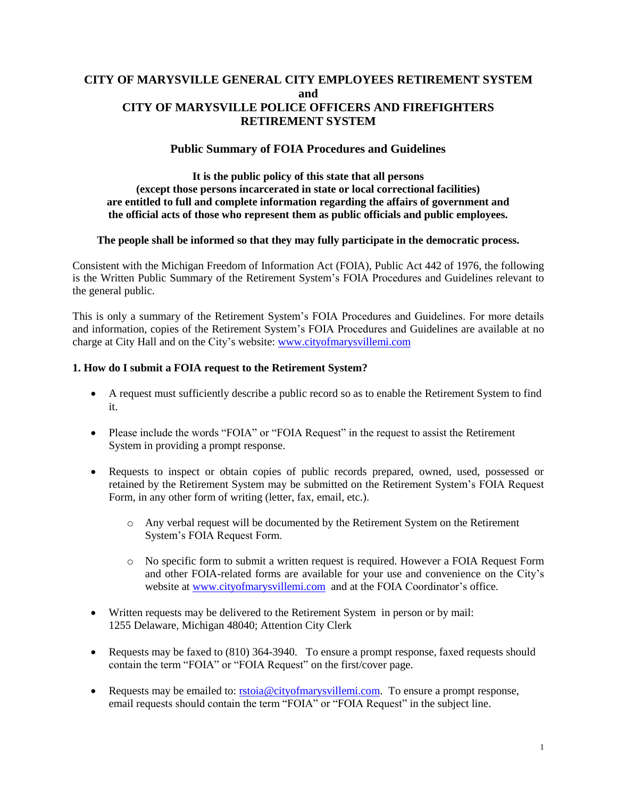# **CITY OF MARYSVILLE GENERAL CITY EMPLOYEES RETIREMENT SYSTEM and CITY OF MARYSVILLE POLICE OFFICERS AND FIREFIGHTERS RETIREMENT SYSTEM**

## **Public Summary of FOIA Procedures and Guidelines**

#### **It is the public policy of this state that all persons (except those persons incarcerated in state or local correctional facilities) are entitled to full and complete information regarding the affairs of government and the official acts of those who represent them as public officials and public employees.**

#### **The people shall be informed so that they may fully participate in the democratic process.**

Consistent with the Michigan Freedom of Information Act (FOIA), Public Act 442 of 1976, the following is the Written Public Summary of the Retirement System's FOIA Procedures and Guidelines relevant to the general public.

This is only a summary of the Retirement System's FOIA Procedures and Guidelines. For more details and information, copies of the Retirement System's FOIA Procedures and Guidelines are available at no charge at City Hall and on the City's website: [www.cityofmarysvillemi.com](http://www.cityofmarysvillemi.com/)

#### **1. How do I submit a FOIA request to the Retirement System?**

- A request must sufficiently describe a public record so as to enable the Retirement System to find it.
- Please include the words "FOIA" or "FOIA Request" in the request to assist the Retirement System in providing a prompt response.
- Requests to inspect or obtain copies of public records prepared, owned, used, possessed or retained by the Retirement System may be submitted on the Retirement System's FOIA Request Form, in any other form of writing (letter, fax, email, etc.).
	- o Any verbal request will be documented by the Retirement System on the Retirement System's FOIA Request Form.
	- o No specific form to submit a written request is required. However a FOIA Request Form and other FOIA-related forms are available for your use and convenience on the City's website at [www.cityofmarysvillemi.com](http://www.cityofmarysvillemi.com/) and at the FOIA Coordinator's office.
- Written requests may be delivered to the Retirement System in person or by mail: 1255 Delaware, Michigan 48040; Attention City Clerk
- Requests may be faxed to (810) 364-3940. To ensure a prompt response, faxed requests should contain the term "FOIA" or "FOIA Request" on the first/cover page.
- Requests may be emailed to: [rstoia@cityofmarysvillemi.com.](mailto:rstoia@cityofmarysvillemi.com) To ensure a prompt response, email requests should contain the term "FOIA" or "FOIA Request" in the subject line.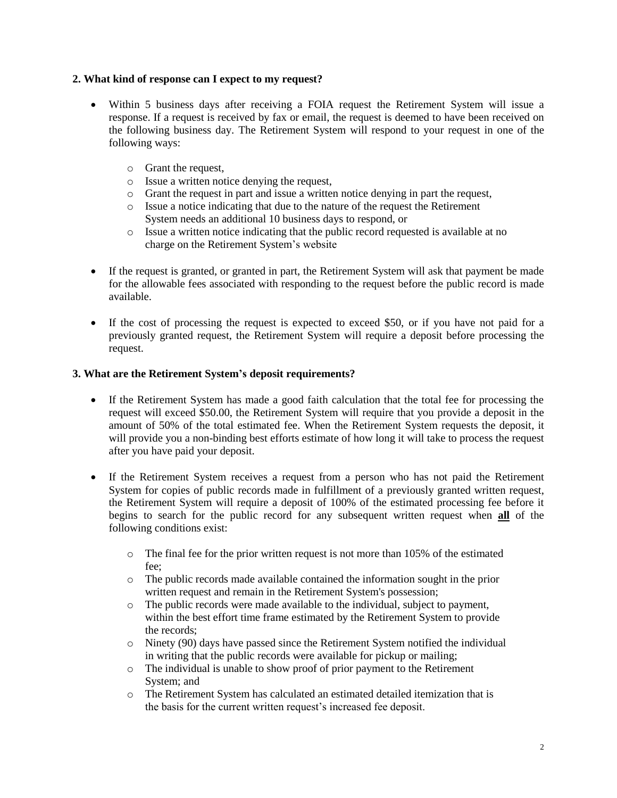### **2. What kind of response can I expect to my request?**

- Within 5 business days after receiving a FOIA request the Retirement System will issue a response. If a request is received by fax or email, the request is deemed to have been received on the following business day. The Retirement System will respond to your request in one of the following ways:
	- o Grant the request,
	- o Issue a written notice denying the request,
	- o Grant the request in part and issue a written notice denying in part the request,
	- o Issue a notice indicating that due to the nature of the request the Retirement System needs an additional 10 business days to respond, or
	- o Issue a written notice indicating that the public record requested is available at no charge on the Retirement System's website
- If the request is granted, or granted in part, the Retirement System will ask that payment be made for the allowable fees associated with responding to the request before the public record is made available.
- If the cost of processing the request is expected to exceed \$50, or if you have not paid for a previously granted request, the Retirement System will require a deposit before processing the request.

#### **3. What are the Retirement System's deposit requirements?**

- If the Retirement System has made a good faith calculation that the total fee for processing the request will exceed \$50.00, the Retirement System will require that you provide a deposit in the amount of 50% of the total estimated fee. When the Retirement System requests the deposit, it will provide you a non-binding best efforts estimate of how long it will take to process the request after you have paid your deposit.
- If the Retirement System receives a request from a person who has not paid the Retirement System for copies of public records made in fulfillment of a previously granted written request, the Retirement System will require a deposit of 100% of the estimated processing fee before it begins to search for the public record for any subsequent written request when **all** of the following conditions exist:
	- o The final fee for the prior written request is not more than 105% of the estimated fee;
	- o The public records made available contained the information sought in the prior written request and remain in the Retirement System's possession;
	- o The public records were made available to the individual, subject to payment, within the best effort time frame estimated by the Retirement System to provide the records;
	- o Ninety (90) days have passed since the Retirement System notified the individual in writing that the public records were available for pickup or mailing;
	- o The individual is unable to show proof of prior payment to the Retirement System; and
	- o The Retirement System has calculated an estimated detailed itemization that is the basis for the current written request's increased fee deposit.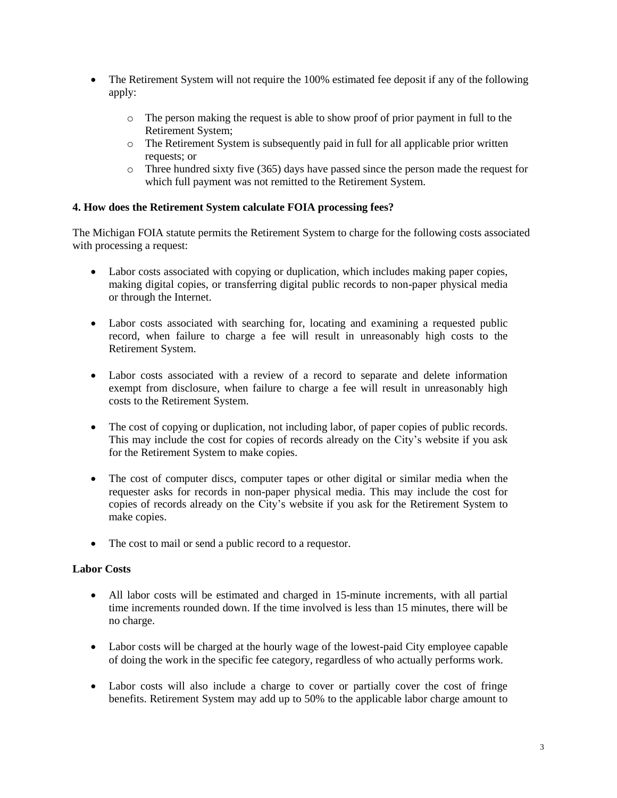- The Retirement System will not require the 100% estimated fee deposit if any of the following apply:
	- o The person making the request is able to show proof of prior payment in full to the Retirement System;
	- o The Retirement System is subsequently paid in full for all applicable prior written requests; or
	- o Three hundred sixty five (365) days have passed since the person made the request for which full payment was not remitted to the Retirement System.

## **4. How does the Retirement System calculate FOIA processing fees?**

The Michigan FOIA statute permits the Retirement System to charge for the following costs associated with processing a request:

- Labor costs associated with copying or duplication, which includes making paper copies, making digital copies, or transferring digital public records to non-paper physical media or through the Internet.
- Labor costs associated with searching for, locating and examining a requested public record, when failure to charge a fee will result in unreasonably high costs to the Retirement System.
- Labor costs associated with a review of a record to separate and delete information exempt from disclosure, when failure to charge a fee will result in unreasonably high costs to the Retirement System.
- The cost of copying or duplication, not including labor, of paper copies of public records. This may include the cost for copies of records already on the City's website if you ask for the Retirement System to make copies.
- The cost of computer discs, computer tapes or other digital or similar media when the requester asks for records in non-paper physical media. This may include the cost for copies of records already on the City's website if you ask for the Retirement System to make copies.
- The cost to mail or send a public record to a requestor.

# **Labor Costs**

- All labor costs will be estimated and charged in 15-minute increments, with all partial time increments rounded down. If the time involved is less than 15 minutes, there will be no charge.
- Labor costs will be charged at the hourly wage of the lowest-paid City employee capable of doing the work in the specific fee category, regardless of who actually performs work.
- Labor costs will also include a charge to cover or partially cover the cost of fringe benefits. Retirement System may add up to 50% to the applicable labor charge amount to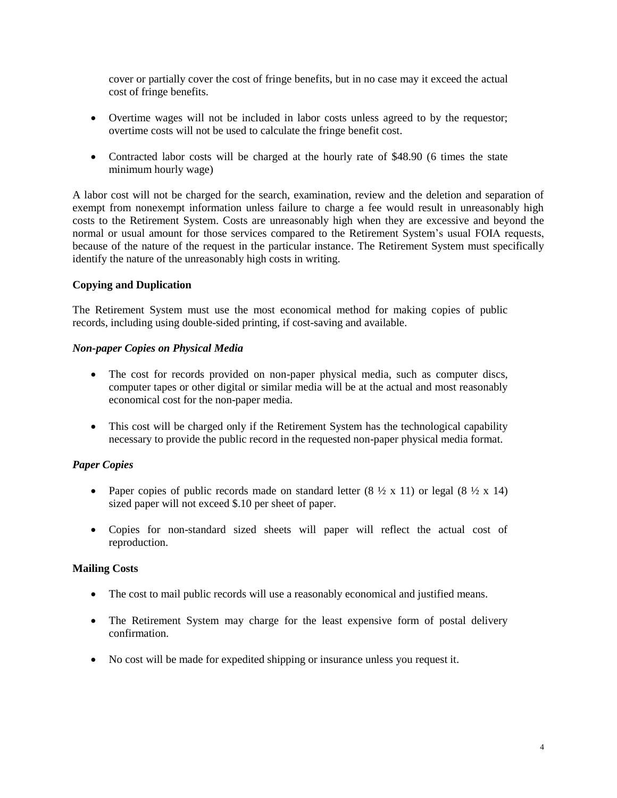cover or partially cover the cost of fringe benefits, but in no case may it exceed the actual cost of fringe benefits.

- Overtime wages will not be included in labor costs unless agreed to by the requestor; overtime costs will not be used to calculate the fringe benefit cost.
- Contracted labor costs will be charged at the hourly rate of \$48.90 (6 times the state minimum hourly wage)

A labor cost will not be charged for the search, examination, review and the deletion and separation of exempt from nonexempt information unless failure to charge a fee would result in unreasonably high costs to the Retirement System. Costs are unreasonably high when they are excessive and beyond the normal or usual amount for those services compared to the Retirement System's usual FOIA requests, because of the nature of the request in the particular instance. The Retirement System must specifically identify the nature of the unreasonably high costs in writing.

## **Copying and Duplication**

The Retirement System must use the most economical method for making copies of public records, including using double-sided printing, if cost-saving and available.

#### *Non-paper Copies on Physical Media*

- The cost for records provided on non-paper physical media, such as computer discs, computer tapes or other digital or similar media will be at the actual and most reasonably economical cost for the non-paper media.
- This cost will be charged only if the Retirement System has the technological capability necessary to provide the public record in the requested non-paper physical media format.

# *Paper Copies*

- Paper copies of public records made on standard letter  $(8 \frac{1}{2} \times 11)$  or legal  $(8 \frac{1}{2} \times 14)$ sized paper will not exceed \$.10 per sheet of paper.
- Copies for non-standard sized sheets will paper will reflect the actual cost of reproduction.

#### **Mailing Costs**

- The cost to mail public records will use a reasonably economical and justified means.
- The Retirement System may charge for the least expensive form of postal delivery confirmation.
- No cost will be made for expedited shipping or insurance unless you request it.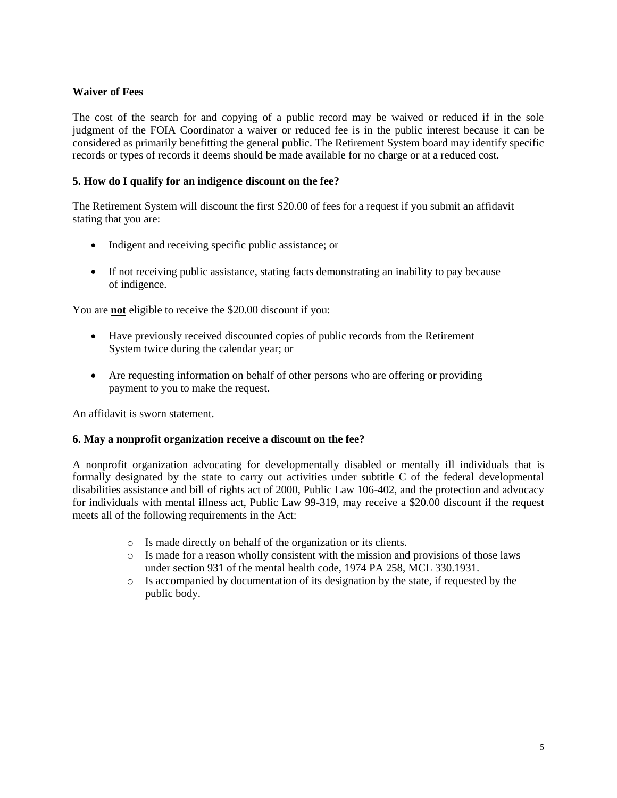# **Waiver of Fees**

The cost of the search for and copying of a public record may be waived or reduced if in the sole judgment of the FOIA Coordinator a waiver or reduced fee is in the public interest because it can be considered as primarily benefitting the general public. The Retirement System board may identify specific records or types of records it deems should be made available for no charge or at a reduced cost.

## **5. How do I qualify for an indigence discount on the fee?**

The Retirement System will discount the first \$20.00 of fees for a request if you submit an affidavit stating that you are:

- Indigent and receiving specific public assistance; or
- If not receiving public assistance, stating facts demonstrating an inability to pay because of indigence.

You are **not** eligible to receive the \$20.00 discount if you:

- Have previously received discounted copies of public records from the Retirement System twice during the calendar year; or
- Are requesting information on behalf of other persons who are offering or providing payment to you to make the request.

An affidavit is sworn statement.

#### **6. May a nonprofit organization receive a discount on the fee?**

A nonprofit organization advocating for developmentally disabled or mentally ill individuals that is formally designated by the state to carry out activities under subtitle C of the federal developmental disabilities assistance and bill of rights act of 2000, Public Law 106-402, and the protection and advocacy for individuals with mental illness act, Public Law 99-319, may receive a \$20.00 discount if the request meets all of the following requirements in the Act:

- o Is made directly on behalf of the organization or its clients.
- o Is made for a reason wholly consistent with the mission and provisions of those laws under section 931 of the mental health code, 1974 PA 258, MCL 330.1931.
- o Is accompanied by documentation of its designation by the state, if requested by the public body.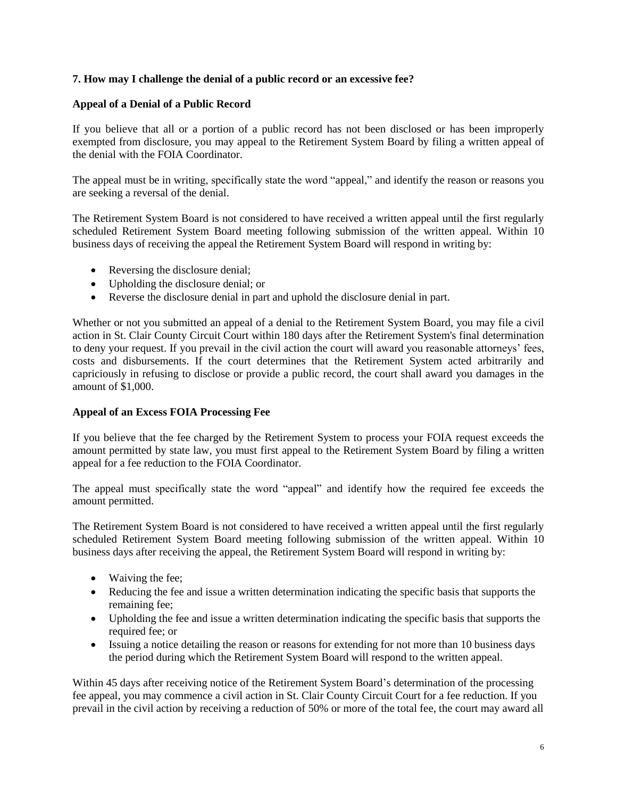## **7. How may I challenge the denial of a public record or an excessive fee?**

### **Appeal of a Denial of a Public Record**

If you believe that all or a portion of a public record has not been disclosed or has been improperly exempted from disclosure, you may appeal to the Retirement System Board by filing a written appeal of the denial with the FOIA Coordinator.

The appeal must be in writing, specifically state the word "appeal," and identify the reason or reasons you are seeking a reversal of the denial.

The Retirement System Board is not considered to have received a written appeal until the first regularly scheduled Retirement System Board meeting following submission of the written appeal. Within 10 business days of receiving the appeal the Retirement System Board will respond in writing by:

- Reversing the disclosure denial;
- Upholding the disclosure denial; or
- Reverse the disclosure denial in part and uphold the disclosure denial in part.

Whether or not you submitted an appeal of a denial to the Retirement System Board, you may file a civil action in St. Clair County Circuit Court within 180 days after the Retirement System's final determination to deny your request. If you prevail in the civil action the court will award you reasonable attorneys' fees, costs and disbursements. If the court determines that the Retirement System acted arbitrarily and capriciously in refusing to disclose or provide a public record, the court shall award you damages in the amount of \$1,000.

#### **Appeal of an Excess FOIA Processing Fee**

If you believe that the fee charged by the Retirement System to process your FOIA request exceeds the amount permitted by state law, you must first appeal to the Retirement System Board by filing a written appeal for a fee reduction to the FOIA Coordinator.

The appeal must specifically state the word "appeal" and identify how the required fee exceeds the amount permitted.

The Retirement System Board is not considered to have received a written appeal until the first regularly scheduled Retirement System Board meeting following submission of the written appeal. Within 10 business days after receiving the appeal, the Retirement System Board will respond in writing by:

- Waiving the fee;
- Reducing the fee and issue a written determination indicating the specific basis that supports the remaining fee;
- Upholding the fee and issue a written determination indicating the specific basis that supports the required fee; or
- Issuing a notice detailing the reason or reasons for extending for not more than 10 business days the period during which the Retirement System Board will respond to the written appeal.

Within 45 days after receiving notice of the Retirement System Board's determination of the processing fee appeal, you may commence a civil action in St. Clair County Circuit Court for a fee reduction. If you prevail in the civil action by receiving a reduction of 50% or more of the total fee, the court may award all